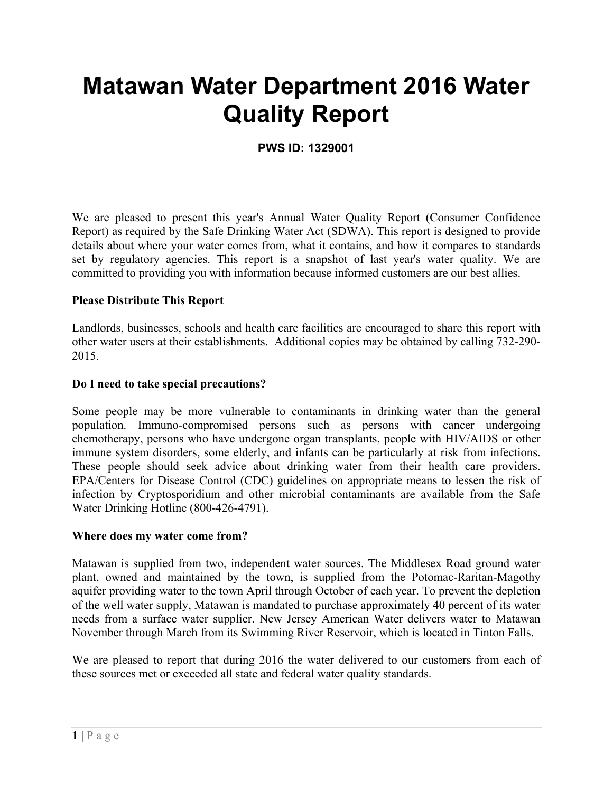# **Matawan Water Department 2016 Water Quality Report**

# **PWS ID: 1329001**

We are pleased to present this year's Annual Water Quality Report (Consumer Confidence Report) as required by the Safe Drinking Water Act (SDWA). This report is designed to provide details about where your water comes from, what it contains, and how it compares to standards set by regulatory agencies. This report is a snapshot of last year's water quality. We are committed to providing you with information because informed customers are our best allies.

#### **Please Distribute This Report**

Landlords, businesses, schools and health care facilities are encouraged to share this report with other water users at their establishments. Additional copies may be obtained by calling 732-290- 2015.

#### **Do I need to take special precautions?**

Some people may be more vulnerable to contaminants in drinking water than the general population. Immuno-compromised persons such as persons with cancer undergoing chemotherapy, persons who have undergone organ transplants, people with HIV/AIDS or other immune system disorders, some elderly, and infants can be particularly at risk from infections. These people should seek advice about drinking water from their health care providers. EPA/Centers for Disease Control (CDC) guidelines on appropriate means to lessen the risk of infection by Cryptosporidium and other microbial contaminants are available from the Safe Water Drinking Hotline (800-426-4791).

#### **Where does my water come from?**

Matawan is supplied from two, independent water sources. The Middlesex Road ground water plant, owned and maintained by the town, is supplied from the Potomac-Raritan-Magothy aquifer providing water to the town April through October of each year. To prevent the depletion of the well water supply, Matawan is mandated to purchase approximately 40 percent of its water needs from a surface water supplier. New Jersey American Water delivers water to Matawan November through March from its Swimming River Reservoir, which is located in Tinton Falls.

We are pleased to report that during 2016 the water delivered to our customers from each of these sources met or exceeded all state and federal water quality standards.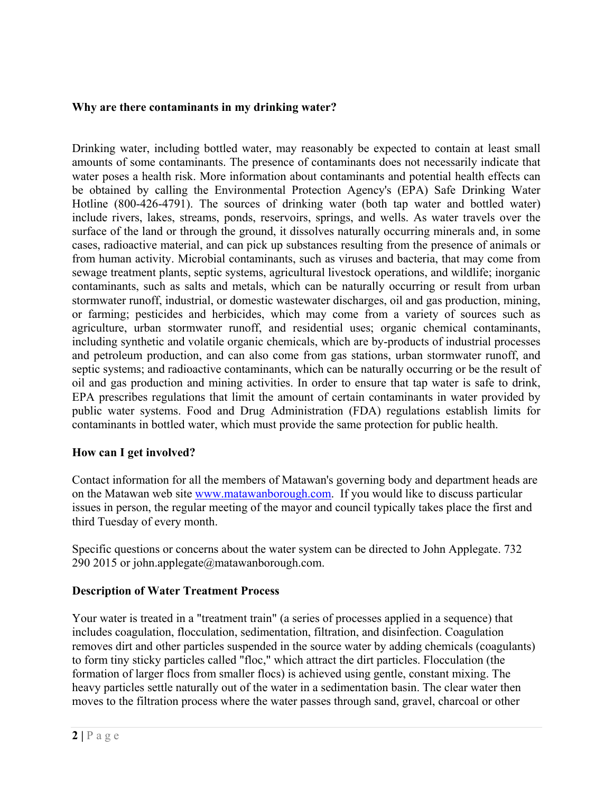#### **Why are there contaminants in my drinking water?**

Drinking water, including bottled water, may reasonably be expected to contain at least small amounts of some contaminants. The presence of contaminants does not necessarily indicate that water poses a health risk. More information about contaminants and potential health effects can be obtained by calling the Environmental Protection Agency's (EPA) Safe Drinking Water Hotline (800-426-4791). The sources of drinking water (both tap water and bottled water) include rivers, lakes, streams, ponds, reservoirs, springs, and wells. As water travels over the surface of the land or through the ground, it dissolves naturally occurring minerals and, in some cases, radioactive material, and can pick up substances resulting from the presence of animals or from human activity. Microbial contaminants, such as viruses and bacteria, that may come from sewage treatment plants, septic systems, agricultural livestock operations, and wildlife; inorganic contaminants, such as salts and metals, which can be naturally occurring or result from urban stormwater runoff, industrial, or domestic wastewater discharges, oil and gas production, mining, or farming; pesticides and herbicides, which may come from a variety of sources such as agriculture, urban stormwater runoff, and residential uses; organic chemical contaminants, including synthetic and volatile organic chemicals, which are by-products of industrial processes and petroleum production, and can also come from gas stations, urban stormwater runoff, and septic systems; and radioactive contaminants, which can be naturally occurring or be the result of oil and gas production and mining activities. In order to ensure that tap water is safe to drink, EPA prescribes regulations that limit the amount of certain contaminants in water provided by public water systems. Food and Drug Administration (FDA) regulations establish limits for contaminants in bottled water, which must provide the same protection for public health.

# **How can I get involved?**

Contact information for all the members of Matawan's governing body and department heads are on the Matawan web site www.matawanborough.com. If you would like to discuss particular issues in person, the regular meeting of the mayor and council typically takes place the first and third Tuesday of every month.

Specific questions or concerns about the water system can be directed to John Applegate. 732 290 2015 or john.applegate $@$ matawanborough.com.

# **Description of Water Treatment Process**

Your water is treated in a "treatment train" (a series of processes applied in a sequence) that includes coagulation, flocculation, sedimentation, filtration, and disinfection. Coagulation removes dirt and other particles suspended in the source water by adding chemicals (coagulants) to form tiny sticky particles called "floc," which attract the dirt particles. Flocculation (the formation of larger flocs from smaller flocs) is achieved using gentle, constant mixing. The heavy particles settle naturally out of the water in a sedimentation basin. The clear water then moves to the filtration process where the water passes through sand, gravel, charcoal or other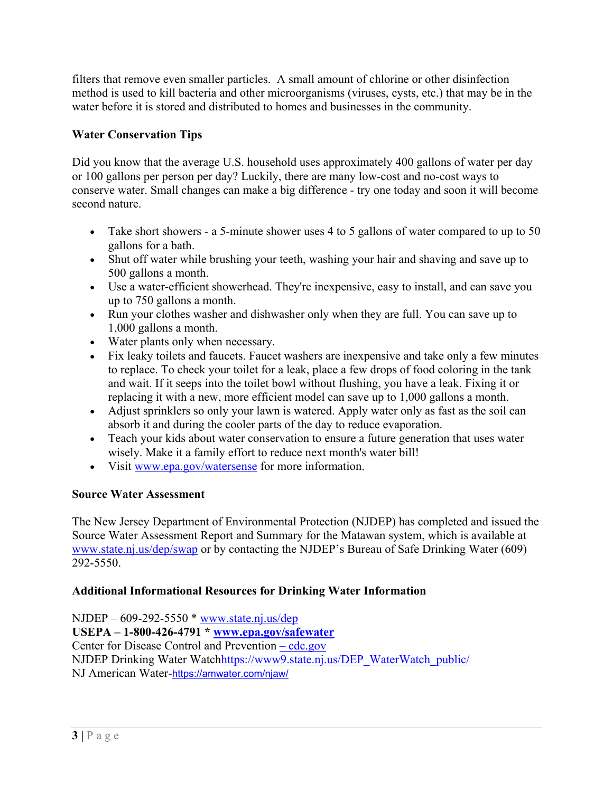filters that remove even smaller particles. A small amount of chlorine or other disinfection method is used to kill bacteria and other microorganisms (viruses, cysts, etc.) that may be in the water before it is stored and distributed to homes and businesses in the community.

# **Water Conservation Tips**

Did you know that the average U.S. household uses approximately 400 gallons of water per day or 100 gallons per person per day? Luckily, there are many low-cost and no-cost ways to conserve water. Small changes can make a big difference - try one today and soon it will become second nature.

- Take short showers a 5-minute shower uses 4 to 5 gallons of water compared to up to 50 gallons for a bath.
- Shut off water while brushing your teeth, washing your hair and shaving and save up to 500 gallons a month.
- Use a water-efficient showerhead. They're inexpensive, easy to install, and can save you up to 750 gallons a month.
- Run your clothes washer and dishwasher only when they are full. You can save up to 1,000 gallons a month.
- Water plants only when necessary.
- Fix leaky toilets and faucets. Faucet washers are inexpensive and take only a few minutes to replace. To check your toilet for a leak, place a few drops of food coloring in the tank and wait. If it seeps into the toilet bowl without flushing, you have a leak. Fixing it or replacing it with a new, more efficient model can save up to 1,000 gallons a month.
- Adjust sprinklers so only your lawn is watered. Apply water only as fast as the soil can absorb it and during the cooler parts of the day to reduce evaporation.
- Teach your kids about water conservation to ensure a future generation that uses water wisely. Make it a family effort to reduce next month's water bill!
- Visit www.epa.gov/watersense for more information.

# **Source Water Assessment**

The New Jersey Department of Environmental Protection (NJDEP) has completed and issued the Source Water Assessment Report and Summary for the Matawan system, which is available at www.state.nj.us/dep/swap or by contacting the NJDEP's Bureau of Safe Drinking Water (609) 292-5550.

# **Additional Informational Resources for Drinking Water Information**

NJDEP – 609-292-5550 \* www.state.nj.us/dep **USEPA – 1-800-426-4791 \* www.epa.gov/safewater** Center for Disease Control and Prevention – cdc.gov NJDEP Drinking Water Watchhttps://www9.state.nj.us/DEP\_WaterWatch\_public/ NJ American Water-https://amwater.com/njaw/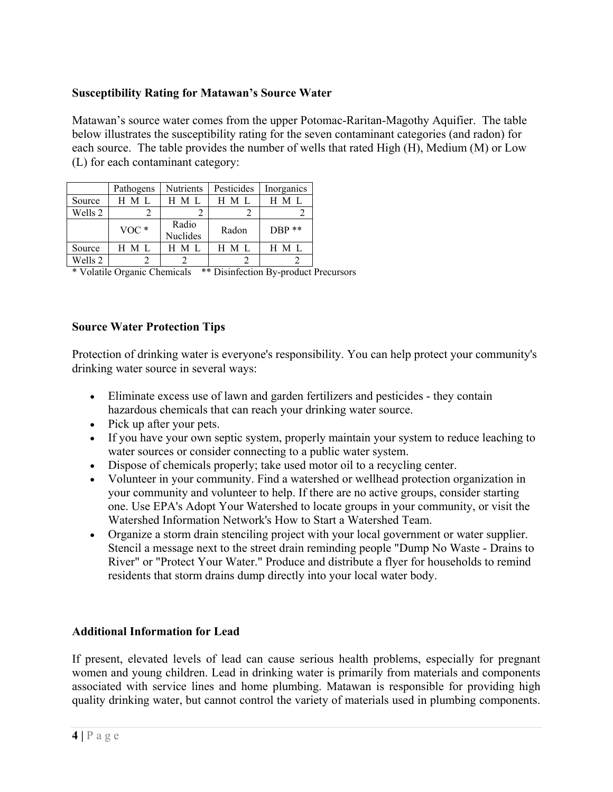# **Susceptibility Rating for Matawan's Source Water**

Matawan's source water comes from the upper Potomac-Raritan-Magothy Aquifier. The table below illustrates the susceptibility rating for the seven contaminant categories (and radon) for each source. The table provides the number of wells that rated High (H), Medium (M) or Low (L) for each contaminant category:

|         | Pathogens | <b>Nutrients</b>         | Pesticides | Inorganics |
|---------|-----------|--------------------------|------------|------------|
| Source  | H M I     | H M L                    | H M L      | H M L      |
| Wells 2 |           |                          |            |            |
|         | $VOC*$    | Radio<br><b>Nuclides</b> | Radon      | $DBP$ **   |
| Source  | H M L     | $H$ M L                  | H M L      | H M L      |
| Wells 2 |           |                          |            |            |

\* Volatile Organic Chemicals \*\* Disinfection By-product Precursors

#### **Source Water Protection Tips**

Protection of drinking water is everyone's responsibility. You can help protect your community's drinking water source in several ways:

- Eliminate excess use of lawn and garden fertilizers and pesticides they contain hazardous chemicals that can reach your drinking water source.
- Pick up after your pets.
- If you have your own septic system, properly maintain your system to reduce leaching to water sources or consider connecting to a public water system.
- Dispose of chemicals properly; take used motor oil to a recycling center.
- Volunteer in your community. Find a watershed or wellhead protection organization in your community and volunteer to help. If there are no active groups, consider starting one. Use EPA's Adopt Your Watershed to locate groups in your community, or visit the Watershed Information Network's How to Start a Watershed Team.
- Organize a storm drain stenciling project with your local government or water supplier. Stencil a message next to the street drain reminding people "Dump No Waste - Drains to River" or "Protect Your Water." Produce and distribute a flyer for households to remind residents that storm drains dump directly into your local water body.

# **Additional Information for Lead**

If present, elevated levels of lead can cause serious health problems, especially for pregnant women and young children. Lead in drinking water is primarily from materials and components associated with service lines and home plumbing. Matawan is responsible for providing high quality drinking water, but cannot control the variety of materials used in plumbing components.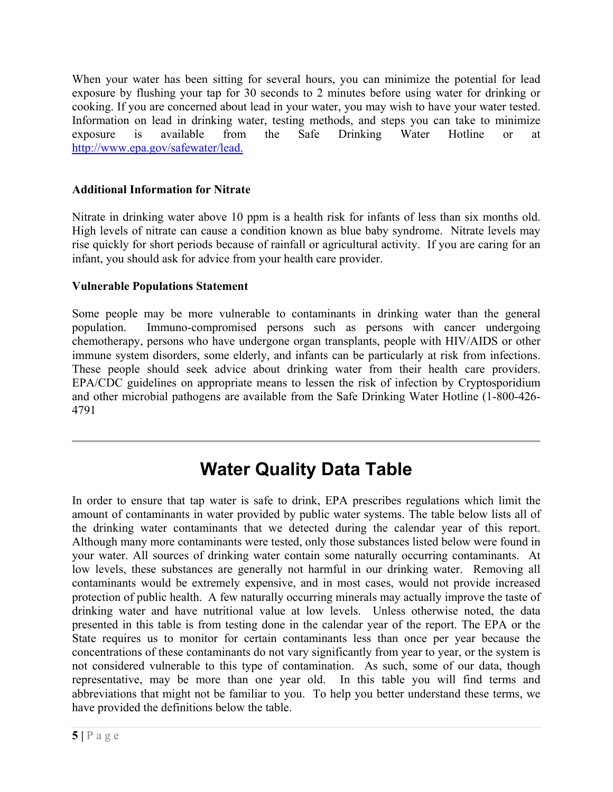When your water has been sitting for several hours, you can minimize the potential for lead exposure by flushing your tap for 30 seconds to 2 minutes before using water for drinking or cooking. If you are concerned about lead in your water, you may wish to have your water tested. Information on lead in drinking water, testing methods, and steps you can take to minimize exposure is available from the Safe Drinking Water Hotline or at http://www.epa.gov/safewater/lead.

# **Additional Information for Nitrate**

Nitrate in drinking water above 10 ppm is a health risk for infants of less than six months old. High levels of nitrate can cause a condition known as blue baby syndrome. Nitrate levels may rise quickly for short periods because of rainfall or agricultural activity. If you are caring for an infant, you should ask for advice from your health care provider.

# **Vulnerable Populations Statement**

Some people may be more vulnerable to contaminants in drinking water than the general population. Immuno-compromised persons such as persons with cancer undergoing chemotherapy, persons who have undergone organ transplants, people with HIV/AIDS or other immune system disorders, some elderly, and infants can be particularly at risk from infections. These people should seek advice about drinking water from their health care providers. EPA/CDC guidelines on appropriate means to lessen the risk of infection by Cryptosporidium and other microbial pathogens are available from the Safe Drinking Water Hotline (1-800-426- 4791

# **Water Quality Data Table**

In order to ensure that tap water is safe to drink, EPA prescribes regulations which limit the amount of contaminants in water provided by public water systems. The table below lists all of the drinking water contaminants that we detected during the calendar year of this report. Although many more contaminants were tested, only those substances listed below were found in your water. All sources of drinking water contain some naturally occurring contaminants. At low levels, these substances are generally not harmful in our drinking water. Removing all contaminants would be extremely expensive, and in most cases, would not provide increased protection of public health. A few naturally occurring minerals may actually improve the taste of drinking water and have nutritional value at low levels. Unless otherwise noted, the data presented in this table is from testing done in the calendar year of the report. The EPA or the State requires us to monitor for certain contaminants less than once per year because the concentrations of these contaminants do not vary significantly from year to year, or the system is not considered vulnerable to this type of contamination. As such, some of our data, though representative, may be more than one year old. In this table you will find terms and abbreviations that might not be familiar to you. To help you better understand these terms, we have provided the definitions below the table.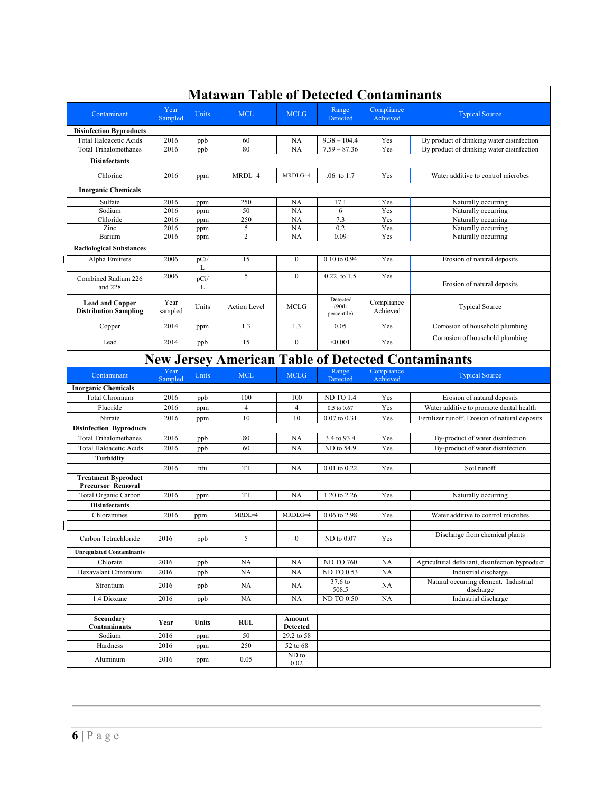| <b>Matawan Table of Detected Contaminants</b>          |                                                           |              |                     |                   |                                   |                        |                                                                        |  |
|--------------------------------------------------------|-----------------------------------------------------------|--------------|---------------------|-------------------|-----------------------------------|------------------------|------------------------------------------------------------------------|--|
| Contaminant                                            | Year<br>Sampled                                           | <b>Units</b> | <b>MCL</b>          | <b>MCLG</b>       | Range<br>Detected                 | Compliance<br>Achieved | <b>Typical Source</b>                                                  |  |
| <b>Disinfection Byproducts</b>                         |                                                           |              |                     |                   |                                   |                        |                                                                        |  |
| <b>Total Haloacetic Acids</b>                          | 2016                                                      | ppb          | 60                  | <b>NA</b>         | $9.38 - 104.4$                    | Yes                    | By product of drinking water disinfection                              |  |
| <b>Total Trihalomethanes</b>                           | 2016                                                      | ppb          | 80                  | NA                | $7.59 - 87.36$                    | Yes                    | By product of drinking water disinfection                              |  |
| <b>Disinfectants</b>                                   |                                                           |              |                     |                   |                                   |                        |                                                                        |  |
| Chlorine                                               | 2016                                                      | ppm          | $MRDL=4$            | MRDLG=4           | .06 to 1.7                        | Yes                    | Water additive to control microbes                                     |  |
| <b>Inorganic Chemicals</b>                             |                                                           |              |                     |                   |                                   |                        |                                                                        |  |
| Sulfate                                                | 2016                                                      | ppm          | 250                 | <b>NA</b>         | 17.1                              | Yes                    | Naturally occurring                                                    |  |
| Sodium                                                 | 2016                                                      | ppm          | 50                  | NA                | 6                                 | Yes                    | Naturally occurring                                                    |  |
| Chloride                                               | 2016                                                      | ppm          | 250                 | NA                | 7.3                               | Yes                    | Naturally occurring                                                    |  |
| Zinc<br>Barium                                         | 2016<br>2016                                              | ppm          | 5<br>$\overline{c}$ | <b>NA</b><br>NA   | 0.2<br>0.09                       | Yes<br>Yes             | Naturally occurring<br>Naturally occurring                             |  |
|                                                        |                                                           | ppm          |                     |                   |                                   |                        |                                                                        |  |
| <b>Radiological Substances</b>                         |                                                           |              |                     |                   |                                   |                        |                                                                        |  |
| Alpha Emitters                                         | 2006                                                      | pCi/<br>L    | 15                  | $\mathbf{0}$      | 0.10 to 0.94                      | Yes                    | Erosion of natural deposits                                            |  |
| Combined Radium 226<br>and 228                         | 2006                                                      | pCi/<br>L    | 5                   | $\mathbf{0}$      | $\overline{0.22}$ to 1.5          | Yes                    | Erosion of natural deposits                                            |  |
| <b>Lead and Copper</b><br><b>Distribution Sampling</b> | Year<br>sampled                                           | Units        | <b>Action Level</b> | <b>MCLG</b>       | Detected<br>(90th)<br>percentile) | Compliance<br>Achieved | <b>Typical Source</b>                                                  |  |
| Copper                                                 | 2014                                                      | ppm          | 1.3                 | 1.3               | 0.05                              | Yes                    | Corrosion of household plumbing                                        |  |
| Lead                                                   | 2014                                                      | ppb          | 15                  | $\mathbf{0}$      | < 0.001                           | Yes                    | Corrosion of household plumbing                                        |  |
|                                                        | <b>New Jersey American Table of Detected Contaminants</b> |              |                     |                   |                                   |                        |                                                                        |  |
| Contaminant                                            | Year                                                      | <b>Units</b> | <b>MCL</b>          | <b>MCLG</b>       | Range                             | Compliance             | <b>Typical Source</b>                                                  |  |
|                                                        | Sampled                                                   |              |                     |                   | Detected                          | Achieved               |                                                                        |  |
| <b>Inorganic Chemicals</b>                             |                                                           |              |                     |                   |                                   |                        |                                                                        |  |
|                                                        |                                                           |              |                     |                   |                                   |                        |                                                                        |  |
| <b>Total Chromium</b>                                  | 2016                                                      | ppb          | 100                 | 100               | <b>ND TO 1.4</b>                  | Yes                    | Erosion of natural deposits                                            |  |
| Fluoride                                               | 2016                                                      | ppm          | 4                   | $\overline{4}$    | $0.5$ to $0.67$                   | Yes                    | Water additive to promote dental health                                |  |
| Nitrate                                                | 2016                                                      | ppm          | 10                  | 10                | $0.07$ to $0.31$                  | Yes                    | Fertilizer runoff. Erosion of natural deposits                         |  |
| <b>Disinfection Byproducts</b>                         |                                                           |              |                     |                   |                                   |                        |                                                                        |  |
| <b>Total Trihalomethanes</b>                           | 2016                                                      | ppb          | 80                  | <b>NA</b>         | 3.4 to 93.4                       | Yes                    | By-product of water disinfection                                       |  |
| <b>Total Haloacetic Acids</b>                          | 2016                                                      | ppb          | 60                  | <b>NA</b>         | ND to 54.9                        | Yes                    | By-product of water disinfection                                       |  |
| Turbidity                                              |                                                           |              |                     |                   |                                   |                        |                                                                        |  |
|                                                        | 2016                                                      | ntu          | <b>TT</b>           | <b>NA</b>         | $0.01$ to $0.22$                  | Yes                    | Soil runoff                                                            |  |
| <b>Treatment Byproduct</b><br><b>Precursor Removal</b> |                                                           |              |                     |                   |                                   |                        |                                                                        |  |
| Total Organic Carbon                                   | 2016                                                      | ppm          | TT                  | <b>NA</b>         | 1.20 to 2.26                      | Yes                    | Naturally occurring                                                    |  |
| <b>Disinfectants</b>                                   |                                                           |              |                     |                   |                                   |                        |                                                                        |  |
| Chloramines                                            | 2016                                                      | ppm          | MRDL=4              | MRDLG=4           | 0.06 to 2.98                      | Yes                    | Water additive to control microbes                                     |  |
|                                                        |                                                           |              |                     |                   |                                   |                        |                                                                        |  |
| Carbon Tetrachloride                                   | 2016                                                      | ppb          | 5                   | $\boldsymbol{0}$  | $ND$ to $0.07$                    | Yes                    | Discharge from chemical plants                                         |  |
| <b>Unregulated Contaminants</b>                        |                                                           |              |                     |                   |                                   |                        |                                                                        |  |
| Chlorate                                               |                                                           |              |                     |                   | <b>ND TO 760</b>                  |                        |                                                                        |  |
| Hexavalant Chromium                                    | 2016                                                      | ppb          | NA                  | NA                | <b>ND TO 0.53</b>                 | <b>NA</b>              | Agricultural defoliant, disinfection byproduct<br>Industrial discharge |  |
| Strontium                                              | 2016<br>2016                                              | ppb<br>ppb   | NA<br>NA            | NA<br>NA          | $37.6$ to                         | NA<br>NA               | Natural occurring element. Industrial                                  |  |
|                                                        |                                                           |              |                     |                   | 508.5                             |                        | discharge                                                              |  |
| 1.4 Dioxane                                            | 2016                                                      | ppb          | NA                  | NA                | <b>ND TO 0.50</b>                 | <b>NA</b>              | Industrial discharge                                                   |  |
| Secondary                                              |                                                           |              |                     | Amount            |                                   |                        |                                                                        |  |
| Contaminants                                           | Year                                                      | <b>Units</b> | RUL                 | <b>Detected</b>   |                                   |                        |                                                                        |  |
| Sodium                                                 | 2016                                                      | ppm          | 50                  | 29.2 to 58        |                                   |                        |                                                                        |  |
| Hardness                                               | 2016                                                      | ppm          | 250                 | 52 to 68<br>ND to |                                   |                        |                                                                        |  |